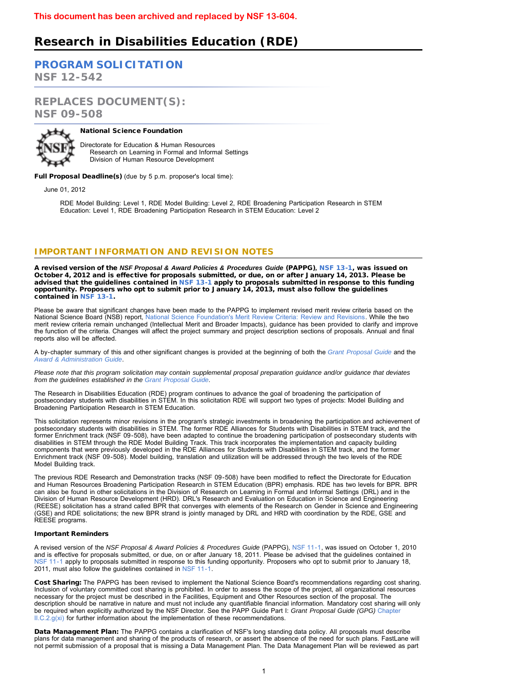# **Research in Disabilities Education (RDE)**

**[PROGRAM SOLICITATION](#page-2-0)**

**NSF 12-542**

**REPLACES DOCUMENT(S): NSF 09-508**



### National Science Foundation

Directorate for Education & Human Resources Research on Learning in Formal and Informal Settings Division of Human Resource Development

Full Proposal Deadline(s) (due by 5 p.m. proposer's local time):

June 01, 2012

RDE Model Building: Level 1, RDE Model Building: Level 2, RDE Broadening Participation Research in STEM Education: Level 1, RDE Broadening Participation Research in STEM Education: Level 2

## **IMPORTANT INFORMATION AND REVISION NOTES**

A revised version of the *NSF Proposal & Award Policies & Procedures Guide* (PAPPG)*,* [NSF 13-1,](http://www.nsf.gov/publications/pub_summ.jsp?ods_key=nsf13001) was issued on October 4, 2012 and is effective for proposals submitted, or due, on or after January 14, 2013. Please be advised that the guidelines contained in [NSF 13-1](http://www.nsf.gov/publications/pub_summ.jsp?ods_key=nsf13001) apply to proposals submitted in response to this funding opportunity. Proposers who opt to submit prior to January 14, 2013, must also follow the guidelines contained in [NSF 13-1](http://www.nsf.gov/publications/pub_summ.jsp?ods_key=nsf13001).

Please be aware that significant changes have been made to the PAPPG to implement revised merit review criteria based on the National Science Board (NSB) report, [National Science Foundation's Merit Review Criteria: Review and Revisions.](http://www.nsf.gov/nsb/publications/2011/meritreviewcriteria.pdf) While the two merit review criteria remain unchanged (Intellectual Merit and Broader Impacts), guidance has been provided to clarify and improve the function of the criteria. Changes will affect the project summary and project description sections of proposals. Annual and final reports also will be affected.

A by-chapter summary of this and other significant changes is provided at the beginning of both the *[Grant Proposal Guide](http://www.nsf.gov/pubs/policydocs/pappguide/nsf13001/gpg_sigchanges.jsp)* and the *[Award & Administration Guide](http://www.nsf.gov/pubs/policydocs/pappguide/nsf13001/aag_sigchanges.jsp)*.

*Please note that this program solicitation may contain supplemental proposal preparation guidance and/or guidance that deviates from the guidelines established in the [Grant Proposal Guide](http://www.nsf.gov/pubs/policydocs/pappguide/nsf13001/gpg_index.jsp).*

The Research in Disabilities Education (RDE) program continues to advance the goal of broadening the participation of postsecondary students with disabilities in STEM. In this solicitation RDE will support two types of projects: Model Building and Broadening Participation Research in STEM Education.

This solicitation represents minor revisions in the program's strategic investments in broadening the participation and achievement of postsecondary students with disabilities in STEM. The former RDE Alliances for Students with Disabilities in STEM track, and the former Enrichment track (NSF 09-508), have been adapted to continue the broadening participation of postsecondary students with disabilities in STEM through the RDE Model Building Track. This track incorporates the implementation and capacity building components that were previously developed in the RDE Alliances for Students with Disabilities in STEM track, and the former Enrichment track (NSF 09-508). Model building, translation and utilization will be addressed through the two levels of the RDE Model Building track.

The previous RDE Research and Demonstration tracks (NSF 09-508) have been modified to reflect the Directorate for Education and Human Resources Broadening Participation Research in STEM Education (BPR) emphasis. RDE has two levels for BPR. BPR can also be found in other solicitations in the Division of Research on Learning in Formal and Informal Settings (DRL) and in the Division of Human Resource Development (HRD). DRL's Research and Evaluation on Education in Science and Engineering (REESE) solicitation has a strand called BPR that converges with elements of the Research on Gender in Science and Engineering (GSE) and RDE solicitations; the new BPR strand is jointly managed by DRL and HRD with coordination by the RDE, GSE and REESE programs.

#### Important Reminders

A revised version of the *NSF Proposal & Award Policies & Procedures Guide* (PAPPG), [NSF 11-1,](http://www.nsf.gov/publications/pub_summ.jsp?ods_key=nsf11001) was issued on October 1, 2010 and is effective for proposals submitted, or due, on or after January 18, 2011. Please be advised that the guidelines contained in [NSF 11-1](http://www.nsf.gov/publications/pub_summ.jsp?ods_key=nsf11001) apply to proposals submitted in response to this funding opportunity. Proposers who opt to submit prior to January 18, 2011, must also follow the guidelines contained in [NSF 11-1.](http://www.nsf.gov/publications/pub_summ.jsp?ods_key=nsf11001)

Cost Sharing: The PAPPG has been revised to implement the National Science Board's recommendations regarding cost sharing. Inclusion of voluntary committed cost sharing is prohibited. In order to assess the scope of the project, all organizational resources necessary for the project must be described in the Facilities, Equipment and Other Resources section of the proposal. The description should be narrative in nature and must not include any quantifiable financial information. Mandatory cost sharing will only be required when explicitly authorized by the NSF Director. See the PAPP Guide Part I: *Grant Proposal Guide (GPG)* [Chapter](http://www.nsf.gov/pubs/policydocs/pappguide/nsf11001/gpg_2.jsp#IIC2gxi)  $ILC.2.g(xi)$  for further information about the implementation of these recommendations.

Data Management Plan: The PAPPG contains a clarification of NSF's long standing data policy. All proposals must describe plans for data management and sharing of the products of research, or assert the absence of the need for such plans. FastLane will not permit submission of a proposal that is missing a Data Management Plan. The Data Management Plan will be reviewed as part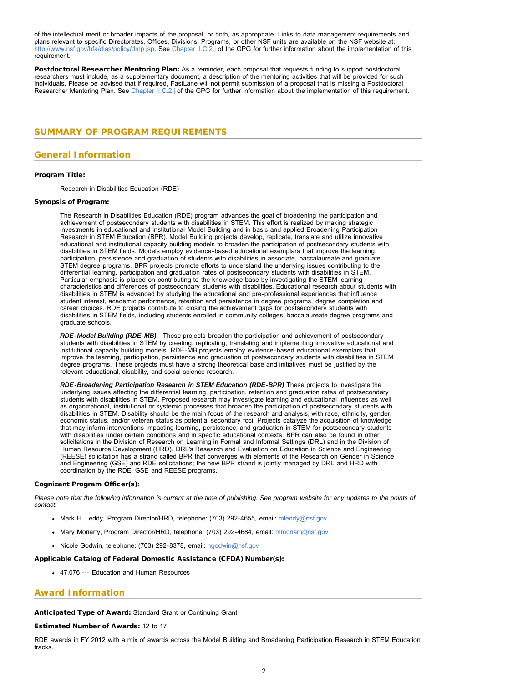of the intellectual merit or broader impacts of the proposal, or both, as appropriate. Links to data management requirements and plans relevant to specific Directorates, Offices, Divisions, Programs, or other NSF units are available on the NSF website at: [http://www.nsf.gov/bfa/dias/policy/dmp.jsp.](http://www.nsf.gov/bfa/dias/policy/dmp.jsp) See [Chapter II.C.2.j](http://www.nsf.gov/pubs/policydocs/pappguide/nsf11001/gpg_2.jsp#IIC2j) of the GPG for further information about the implementation of this requirement.

Postdoctoral Researcher Mentoring Plan: As a reminder, each proposal that requests funding to support postdoctoral researchers must include, as a supplementary document, a description of the mentoring activities that will be provided for such individuals. Please be advised that if required, FastLane will not permit submission of a proposal that is missing a Postdoctoral Researcher Mentoring Plan. See [Chapter II.C.2.j](http://www.nsf.gov/pubs/policydocs/pappguide/nsf11001/gpg_2.jsp#IIC2j) of the GPG for further information about the implementation of this requirement.

## <span id="page-1-0"></span>**SUMMARY OF PROGRAM REQUIREMENTS**

## **General Information**

#### Program Title:

Research in Disabilities Education (RDE)

#### Synopsis of Program:

The Research in Disabilities Education (RDE) program advances the goal of broadening the participation and achievement of postsecondary students with disabilities in STEM. This effort is realized by making strategic investments in educational and institutional Model Building and in basic and applied Broadening Participation Research in STEM Education (BPR). Model Building projects develop, replicate, translate and utilize innovative educational and institutional capacity building models to broaden the participation of postsecondary students with disabilities in STEM fields. Models employ evidence-based educational exemplars that improve the learning, participation, persistence and graduation of students with disabilities in associate, baccalaureate and graduate STEM degree programs. BPR projects promote efforts to understand the underlying issues contributing to the differential learning, participation and graduation rates of postsecondary students with disabilities in STEM. Particular emphasis is placed on contributing to the knowledge base by investigating the STEM learning characteristics and differences of postsecondary students with disabilities. Educational research about students with disabilities in STEM is advanced by studying the educational and pre-professional experiences that influence student interest, academic performance, retention and persistence in degree programs, degree completion and career choices. RDE projects contribute to closing the achievement gaps for postsecondary students with disabilities in STEM fields, including students enrolled in community colleges, baccalaureate degree programs and graduate schools.

*RDE-Model Building (RDE-MB) -* These projects broaden the participation and achievement of postsecondary students with disabilities in STEM by creating, replicating, translating and implementing innovative educational and institutional capacity building models. RDE-MB projects employ evidence-based educational exemplars that improve the learning, participation, persistence and graduation of postsecondary students with disabilities in STEM degree programs. These projects must have a strong theoretical base and initiatives must be justified by the relevant educational, disability, and social science research.

*RDE-Broadening Participation Research in STEM Education (RDE-BPR)* These projects to investigate the underlying issues affecting the differential learning, participation, retention and graduation rates of postsecondary students with disabilities in STEM. Proposed research may investigate learning and educational influences as well as organizational, institutional or systemic processes that broaden the participation of postsecondary students with disabilities in STEM. Disability should be the main focus of the research and analysis, with race, ethnicity, gender, economic status, and/or veteran status as potential secondary foci. Projects catalyze the acquisition of knowledge that may inform interventions impacting learning, persistence, and graduation in STEM for postsecondary students with disabilities under certain conditions and in specific educational contexts. BPR can also be found in other solicitations in the Division of Research on Learning in Formal and Informal Settings (DRL) and in the Division of Human Resource Development (HRD). DRL's Research and Evaluation on Education in Science and Engineering (REESE) solicitation has a strand called BPR that converges with elements of the Research on Gender in Science and Engineering (GSE) and RDE solicitations; the new BPR strand is jointly managed by DRL and HRD with coordination by the RDE, GSE and REESE programs.

#### Cognizant Program Officer(s):

*Please note that the following information is current at the time of publishing. See program website for any updates to the points of contact.*

- Mark H. Leddy, Program Director/HRD, telephone: (703) 292-4655, email: [mleddy@nsf.gov](mailto:mleddy@nsf.gov)
- Mary Moriarty, Program Director/HRD, telephone: (703) 292-4684, email: [mmoriart@nsf.gov](mailto:mmoriart@nsf.gov)
- Nicole Godwin, telephone: (703) 292-8378, email: [ngodwin@nsf.gov](mailto:ngodwin@nsf.gov)

#### Applicable Catalog of Federal Domestic Assistance (CFDA) Number(s):

47.076 --- Education and Human Resources

## **Award Information**

Anticipated Type of Award: Standard Grant or Continuing Grant

Estimated Number of Awards: 12 to 17

RDE awards in FY 2012 with a mix of awards across the Model Building and Broadening Participation Research in STEM Education tracks.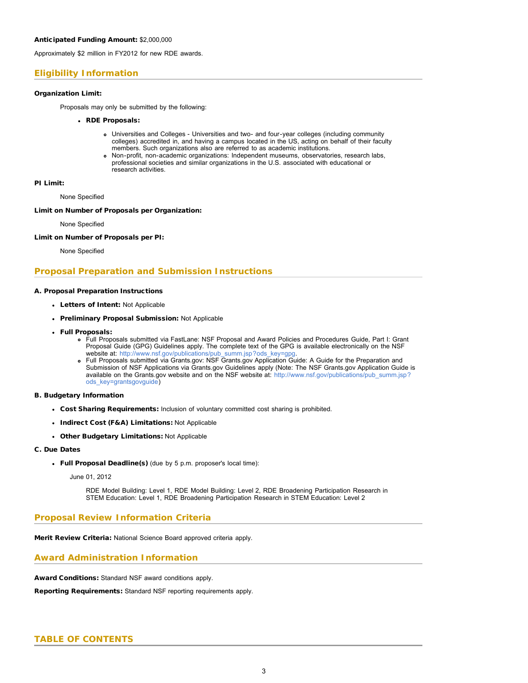Approximately \$2 million in FY2012 for new RDE awards.

## **Eligibility Information**

### Organization Limit:

Proposals may only be submitted by the following:

### RDE Proposals:

- Universities and Colleges Universities and two- and four-year colleges (including community colleges) accredited in, and having a campus located in the US, acting on behalf of their faculty members. Such organizations also are referred to as academic institutions.
- Non-profit, non-academic organizations: Independent museums, observatories, research labs, professional societies and similar organizations in the U.S. associated with educational or research activities.

#### PI Limit:

None Specified

#### Limit on Number of Proposals per Organization:

None Specified

#### Limit on Number of Proposals per PI:

None Specified

## **Proposal Preparation and Submission Instructions**

### A. Proposal Preparation Instructions

- Letters of Intent: Not Applicable
- Preliminary Proposal Submission: Not Applicable
- Full Proposals:
	- Full Proposals submitted via FastLane: NSF Proposal and Award Policies and Procedures Guide, Part I: Grant Proposal Guide (GPG) Guidelines apply. The complete text of the GPG is available electronically on the NSF website at: http://www.nsf.gov/publications/pub\_summ.jsp?ods\_key=gpg
	- Full Proposals submitted via Grants.gov: NSF Grants.gov Application Guide: A Guide for the Preparation and Submission of NSF Applications via Grants.gov Guidelines apply (Note: The NSF Grants.gov Application Guide is available on the Grants.gov website and on the NSF website at: [http://www.nsf.gov/publications/pub\\_summ.jsp?](http://www.nsf.gov/publications/pub_summ.jsp?ods_key=grantsgovguide) [ods\\_key=grantsgovguide\)](http://www.nsf.gov/publications/pub_summ.jsp?ods_key=grantsgovguide)

#### B. Budgetary Information

- Cost Sharing Requirements: Inclusion of voluntary committed cost sharing is prohibited.
- Indirect Cost (F&A) Limitations: Not Applicable
- Other Budgetary Limitations: Not Applicable

### C. Due Dates

Full Proposal Deadline(s) (due by 5 p.m. proposer's local time):

#### June 01, 2012

RDE Model Building: Level 1, RDE Model Building: Level 2, RDE Broadening Participation Research in STEM Education: Level 1, RDE Broadening Participation Research in STEM Education: Level 2

## **Proposal Review Information Criteria**

Merit Review Criteria: National Science Board approved criteria apply.

## **Award Administration Information**

Award Conditions: Standard NSF award conditions apply.

<span id="page-2-0"></span>Reporting Requirements: Standard NSF reporting requirements apply.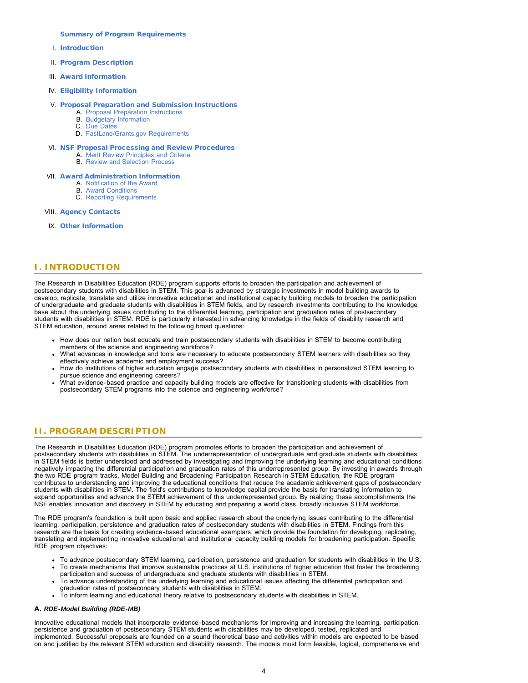#### [Summary of Program Requirements](#page-1-0)

- I. [Introduction](#page-3-0)
- II. [Program Description](#page-3-1)
- III. [Award Information](#page-5-0)
- IV. [Eligibility Information](#page-5-1)

### V. [Proposal Preparation and Submission Instructions](#page-6-0)

- A. [Proposal Preparation Instructions](#page-6-0)
- B. [Budgetary Information](#page-8-0)
- C. [Due Dates](#page-8-1)
- D. [FastLane/Grants.gov Requirements](#page-8-2)

#### VI. [NSF Proposal Processing and Review Procedures](#page-9-0)

- A. [Merit Review Principles and Criteria](#page-9-1)
- B. [Review and Selection Process](#page-10-0)

### VII. [Award Administration Information](#page-10-1)

- A. [Notification of the Award](#page-10-2)
- B. [Award Conditions](#page-10-3)
- C. [Reporting Requirements](#page-11-0)

### VIII. [Agency Contacts](#page-11-1)

IX. [Other Information](#page-11-2)

## <span id="page-3-0"></span>**I. INTRODUCTION**

The Research in Disabilities Education (RDE) program supports efforts to broaden the participation and achievement of postsecondary students with disabilities in STEM. This goal is advanced by strategic investments in model building awards to develop, replicate, translate and utilize innovative educational and institutional capacity building models to broaden the participation of undergraduate and graduate students with disabilities in STEM fields, and by research investments contributing to the knowledge base about the underlying issues contributing to the differential learning, participation and graduation rates of postsecondary students with disabilities in STEM. RDE is particularly interested in advancing knowledge in the fields of disability research and STEM education, around areas related to the following broad questions:

- How does our nation best educate and train postsecondary students with disabilities in STEM to become contributing members of the science and engineering workforce?
- What advances in knowledge and tools are necessary to educate postsecondary STEM learners with disabilities so they effectively achieve academic and employment success?
- How do institutions of higher education engage postsecondary students with disabilities in personalized STEM learning to pursue science and engineering careers?
- What evidence-based practice and capacity building models are effective for transitioning students with disabilities from postsecondary STEM programs into the science and engineering workforce?

## <span id="page-3-1"></span>**II. PROGRAM DESCRIPTION**

The Research in Disabilities Education (RDE) program promotes efforts to broaden the participation and achievement of postsecondary students with disabilities in STEM. The underrepresentation of undergraduate and graduate students with disabilities in STEM fields is better understood and addressed by investigating and improving the underlying learning and educational conditions negatively impacting the differential participation and graduation rates of this underrepresented group. By investing in awards through the two RDE program tracks, Model Building and Broadening Participation Research in STEM Education, the RDE program contributes to understanding and improving the educational conditions that reduce the academic achievement gaps of postsecondary students with disabilities in STEM. The field's contributions to knowledge capital provide the basis for translating information to expand opportunities and advance the STEM achievement of this underrepresented group. By realizing these accomplishments the NSF enables innovation and discovery in STEM by educating and preparing a world class, broadly inclusive STEM workforce.

The RDE program's foundation is built upon basic and applied research about the underlying issues contributing to the differential learning, participation, persistence and graduation rates of postsecondary students with disabilities in STEM. Findings from this research are the basis for creating evidence-based educational exemplars, which provide the foundation for developing, replicating, translating and implementing innovative educational and institutional capacity building models for broadening participation. Specific RDE program objectives:

- To advance postsecondary STEM learning, participation, persistence and graduation for students with disabilities in the U.S. To create mechanisms that improve sustainable practices at U.S. institutions of higher education that foster the broadening
- participation and success of undergraduate and graduate students with disabilities in STEM. To advance understanding of the underlying learning and educational issues affecting the differential participation and
- graduation rates of postsecondary students with disabilities in STEM.
- To inform learning and educational theory relative to postsecondary students with disabilities in STEM.

#### A. *RDE-Model Building (RDE-MB)*

Innovative educational models that incorporate evidence-based mechanisms for improving and increasing the learning, participation, persistence and graduation of postsecondary STEM students with disabilities may be developed, tested, replicated and implemented. Successful proposals are founded on a sound theoretical base and activities within models are expected to be based on and justified by the relevant STEM education and disability research. The models must form feasible, logical, comprehensive and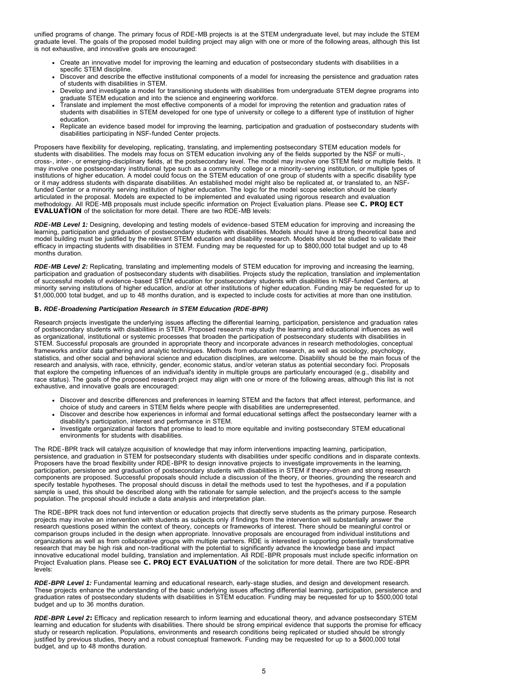unified programs of change. The primary focus of RDE-MB projects is at the STEM undergraduate level, but may include the STEM graduate level. The goals of the proposed model building project may align with one or more of the following areas, although this list is not exhaustive, and innovative goals are encouraged:

- Create an innovative model for improving the learning and education of postsecondary students with disabilities in a specific STEM discipline.
- Discover and describe the effective institutional components of a model for increasing the persistence and graduation rates of students with disabilities in STEM.
- Develop and investigate a model for transitioning students with disabilities from undergraduate STEM degree programs into graduate STEM education and into the science and engineering workforce.
- Translate and implement the most effective components of a model for improving the retention and graduation rates of students with disabilities in STEM developed for one type of university or college to a different type of institution of higher education.
- Replicate an evidence based model for improving the learning, participation and graduation of postsecondary students with disabilities participating in NSF-funded Center projects.

Proposers have flexibility for developing, replicating, translating, and implementing postsecondary STEM education models for students with disabilities. The models may focus on STEM education involving any of the fields supported by the NSF or multi-, cross-, inter-, or emerging-disciplinary fields, at the postsecondary level. The model may involve one STEM field or multiple fields. It may involve one postsecondary institutional type such as a community college or a minority-serving institution, or multiple types of institutions of higher education. A model could focus on the STEM education of one group of students with a specific disability type or it may address students with disparate disabilities. An established model might also be replicated at, or translated to, an NSFfunded Center or a minority serving institution of higher education. The logic for the model scope selection should be clearly articulated in the proposal. Models are expected to be implemented and evaluated using rigorous research and evaluation methodology. All RDE-MB proposals must include specific information on Project Evaluation plans. Please see C. PROJECT EVALUATION of the solicitation for more detail. There are two RDE-MB levels:

*RDE-MB Level 1:* Designing, developing and testing models of evidence-based STEM education for improving and increasing the learning, participation and graduation of postsecondary students with disabilities. Models should have a strong theoretical base and model building must be justified by the relevant STEM education and disability research. Models should be studied to validate their efficacy in impacting students with disabilities in STEM. Funding may be requested for up to \$800,000 total budget and up to 48 months duration.

*RDE-MB Level 2:* Replicating, translating and implementing models of STEM education for improving and increasing the learning, participation and graduation of postsecondary students with disabilities. Projects study the replication, translation and implementation of successful models of evidence-based STEM education for postsecondary students with disabilities in NSF-funded Centers, at minority serving institutions of higher education, and/or at other institutions of higher education. Funding may be requested for up to \$1,000,000 total budget, and up to 48 months duration, and is expected to include costs for activities at more than one institution.

### B. *RDE-Broadening Participation Research in STEM Education (RDE-BPR)*

Research projects investigate the underlying issues affecting the differential learning, participation, persistence and graduation rates of postsecondary students with disabilities in STEM. Proposed research may study the learning and educational influences as well as organizational, institutional or systemic processes that broaden the participation of postsecondary students with disabilities in STEM. Successful proposals are grounded in appropriate theory and incorporate advances in research methodologies, conceptual frameworks and/or data gathering and analytic techniques. Methods from education research, as well as sociology, psychology, statistics, and other social and behavioral science and education disciplines, are welcome. Disability should be the main focus of the research and analysis, with race, ethnicity, gender, economic status, and/or veteran status as potential secondary foci. Proposals that explore the competing influences of an individual's identity in multiple groups are particularly encouraged (e.g., disability and race status). The goals of the proposed research project may align with one or more of the following areas, although this list is not exhaustive, and innovative goals are encouraged:

- Discover and describe differences and preferences in learning STEM and the factors that affect interest, performance, and choice of study and careers in STEM fields where people with disabilities are underrepresented.
- Discover and describe how experiences in informal and formal educational settings affect the postsecondary learner with a disability's participation, interest and performance in STEM.
- Investigate organizational factors that promise to lead to more equitable and inviting postsecondary STEM educational environments for students with disabilities.

The RDE-BPR track will catalyze acquisition of knowledge that may inform interventions impacting learning, participation, persistence, and graduation in STEM for postsecondary students with disabilities under specific conditions and in disparate contexts. Proposers have the broad flexibility under RDE-BPR to design innovative projects to investigate improvements in the learning, participation, persistence and graduation of postsecondary students with disabilities in STEM if theory-driven and strong research components are proposed. Successful proposals should include a discussion of the theory, or theories, grounding the research and specify testable hypotheses. The proposal should discuss in detail the methods used to test the hypotheses, and if a population sample is used, this should be described along with the rationale for sample selection, and the project's access to the sample population. The proposal should include a data analysis and interpretation plan.

The RDE-BPR track does not fund intervention or education projects that directly serve students as the primary purpose. Research projects may involve an intervention with students as subjects only if findings from the intervention will substantially answer the research questions posed within the context of theory, concepts or frameworks of interest. There should be meaningful control or comparison groups included in the design when appropriate. Innovative proposals are encouraged from individual institutions and organizations as well as from collaborative groups with multiple partners. RDE is interested in supporting potentially transformative research that may be high risk and non-traditional with the potential to significantly advance the knowledge base and impact innovative educational model building, translation and implementation. All RDE-BPR proposals must include specific information on Project Evaluation plans. Please see C. PROJECT EVALUATION of the solicitation for more detail. There are two RDE-BPR levels:

*RDE-BPR Level 1:* Fundamental learning and educational research, early-stage studies, and design and development research. These projects enhance the understanding of the basic underlying issues affecting differential learning, participation, persistence and graduation rates of postsecondary students with disabilities in STEM education. Funding may be requested for up to \$500,000 total budget and up to 36 months duration.

*RDE-BPR Level 2*: Efficacy and replication research to inform learning and educational theory, and advance postsecondary STEM learning and education for students with disabilities. There should be strong empirical evidence that supports the promise for efficacy study or research replication. Populations, environments and research conditions being replicated or studied should be strongly justified by previous studies, theory and a robust conceptual framework. Funding may be requested for up to a \$600,000 total budget, and up to 48 months duration.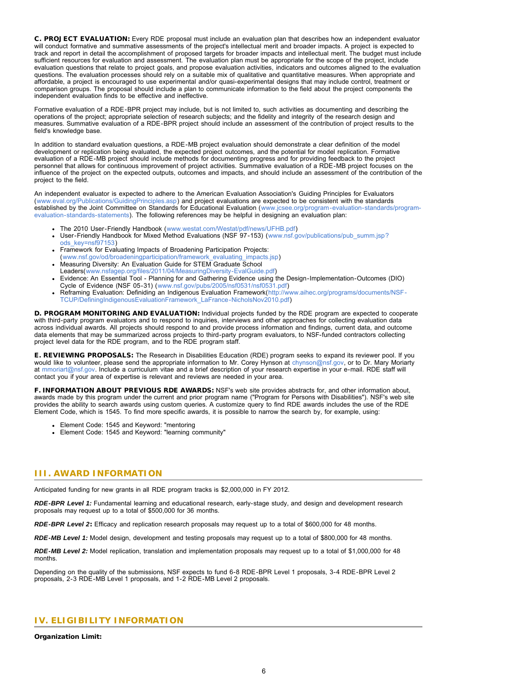C. PROJECT EVALUATION: Every RDE proposal must include an evaluation plan that describes how an independent evaluator will conduct formative and summative assessments of the project's intellectual merit and broader impacts. A project is expected to track and report in detail the accomplishment of proposed targets for broader impacts and intellectual merit. The budget must include sufficient resources for evaluation and assessment. The evaluation plan must be appropriate for the scope of the project, include evaluation questions that relate to project goals, and propose evaluation activities, indicators and outcomes aligned to the evaluation questions. The evaluation processes should rely on a suitable mix of qualitative and quantitative measures. When appropriate and affordable, a project is encouraged to use experimental and/or quasi-experimental designs that may include control, treatment or comparison groups. The proposal should include a plan to communicate information to the field about the project components the independent evaluation finds to be effective and ineffective.

Formative evaluation of a RDE-BPR project may include, but is not limited to, such activities as documenting and describing the operations of the project; appropriate selection of research subjects; and the fidelity and integrity of the research design and measures. Summative evaluation of a RDE-BPR project should include an assessment of the contribution of project results to the field's knowledge base.

In addition to standard evaluation questions, a RDE-MB project evaluation should demonstrate a clear definition of the model development or replication being evaluated, the expected project outcomes, and the potential for model replication. Formative evaluation of a RDE-MB project should include methods for documenting progress and for providing feedback to the project personnel that allows for continuous improvement of project activities. Summative evaluation of a RDE-MB project focuses on the influence of the project on the expected outputs, outcomes and impacts, and should include an assessment of the contribution of the project to the field.

An independent evaluator is expected to adhere to the American Evaluation Association's Guiding Principles for Evaluators ([www.eval.org/Publications/GuidingPrinciples.asp\)](http://www.nsf.gov/cgi-bin/good-bye?http://www.eval.org/Publications/GuidingPrinciples.asp) and project evaluations are expected to be consistent with the standards established by the Joint Committee on Standards for Educational Evaluation ([www.jcsee.org/program-evaluation-standards/program](http://www.nsf.gov/cgi-bin/good-bye?http://www.jcsee.org/program-evaluation-standards/program-evaluation-standards-statements)[evaluation-standards-statements](http://www.nsf.gov/cgi-bin/good-bye?http://www.jcsee.org/program-evaluation-standards/program-evaluation-standards-statements)). The following references may be helpful in designing an evaluation plan:

- The 2010 User-Friendly Handbook ([www.westat.com/Westat/pdf/news/UFHB.pdf\)](http://www.nsf.gov/cgi-bin/good-bye?http://www.westat.com/Westat/pdf/news/UFHB.pdf)
- User-Friendly Handbook for Mixed Method Evaluations (NSF 97-153) ([www.nsf.gov/publications/pub\\_summ.jsp?](http://www.nsf.gov/publications/pub_summ.jsp?ods_key=nsf97153) [ods\\_key=nsf97153\)](http://www.nsf.gov/publications/pub_summ.jsp?ods_key=nsf97153)
- Framework for Evaluating Impacts of Broadening Participation Projects:
- ([www.nsf.gov/od/broadeningparticipation/framework\\_evaluating\\_impacts.jsp\)](http://www.nsf.gov/od/broadeningparticipation/framework_evaluating_impacts.jsp)
- Measuring Diversity: An Evaluation Guide for STEM Graduate School Leaders([www.nsfagep.org/files/2011/04/MeasuringDiversity-EvalGuide.pdf\)](http://www.nsf.gov/cgi-bin/good-bye?http://www.nsfagep.org/files/2011/04/MeasuringDiversity-EvalGuide.pdf)
- Evidence: An Essential Tool Planning for and Gathering Evidence using the Design-Implementation-Outcomes (DIO) Cycle of Evidence (NSF 05-31) ([www.nsf.gov/pubs/2005/nsf0531/nsf0531.pdf](http://www.nsf.gov/pubs/2005/nsf0531/nsf0531.pdf))
- Reframing Evaluation: Definiding an Indigenous Evaluation Framework([http://www.aihec.org/programs/documents/NSF-](http://www.nsf.gov/cgi-bin/good-bye?http://www.aihec.org/programs/documents/NSF-TCUP/DefiningIndigenousEvaluationFramework_LaFrance-NicholsNov2010.pdf)[TCUP/DefiningIndigenousEvaluationFramework\\_LaFrance-NicholsNov2010.pdf](http://www.nsf.gov/cgi-bin/good-bye?http://www.aihec.org/programs/documents/NSF-TCUP/DefiningIndigenousEvaluationFramework_LaFrance-NicholsNov2010.pdf))

D. PROGRAM MONITORING AND EVALUATION: Individual projects funded by the RDE program are expected to cooperate with third-party program evaluators and to respond to inquiries, interviews and other approaches for collecting evaluation data across individual awards. All projects should respond to and provide process information and findings, current data, and outcome data elements that may be summarized across projects to third-party program evaluators, to NSF-funded contractors collecting project level data for the RDE program, and to the RDE program staff.

E. REVIEWING PROPOSALS: The Research in Disabilities Education (RDE) program seeks to expand its reviewer pool. If you would like to volunteer, please send the appropriate information to Mr. Corey Hynson at [chynson@nsf.gov](mailto:chynson@nsf.gov), or to Dr. Mary Moriarty at [mmoriart@nsf.gov.](mailto:mmoriart@nsf.gov) Include a curriculum vitae and a brief description of your research expertise in your e-mail. RDE staff will contact you if your area of expertise is relevant and reviews are needed in your area.

F. INFORMATION ABOUT PREVIOUS RDE AWARDS: NSF's web site provides abstracts for, and other information about, awards made by this program under the current and prior program name ("Program for Persons with Disabilities"). NSF's web site provides the ability to search awards using custom queries. A customize query to find RDE awards includes the use of the RDE Element Code, which is 1545. To find more specific awards, it is possible to narrow the search by, for example, using:

- Element Code: 1545 and Keyword: "mentoring
- Element Code: 1545 and Keyword: "learning community"

## <span id="page-5-0"></span>**III. AWARD INFORMATION**

Anticipated funding for new grants in all RDE program tracks is \$2,000,000 in FY 2012.

*RDE-BPR Level 1:* Fundamental learning and educational research, early-stage study, and design and development research proposals may request up to a total of \$500,000 for 36 months.

*RDE-BPR Level 2*: Efficacy and replication research proposals may request up to a total of \$600,000 for 48 months.

*RDE-MB Level 1:* Model design, development and testing proposals may request up to a total of \$800,000 for 48 months.

*RDE-MB Level 2:* Model replication, translation and implementation proposals may request up to a total of \$1,000,000 for 48 months.

Depending on the quality of the submissions, NSF expects to fund 6-8 RDE-BPR Level 1 proposals, 3-4 RDE-BPR Level 2 proposals, 2-3 RDE-MB Level 1 proposals, and 1-2 RDE-MB Level 2 proposals.

## <span id="page-5-1"></span>**IV. ELIGIBILITY INFORMATION**

Organization Limit: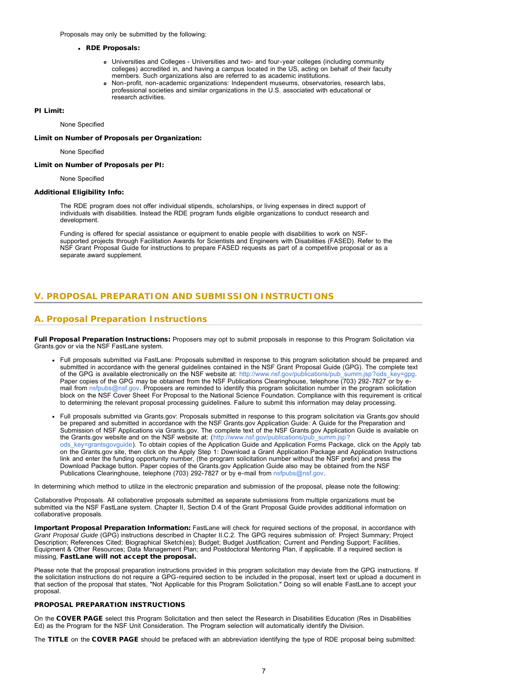Proposals may only be submitted by the following:

#### RDE Proposals:

- Universities and Colleges Universities and two- and four-year colleges (including community colleges) accredited in, and having a campus located in the US, acting on behalf of their faculty members. Such organizations also are referred to as academic institutions.
- Non-profit, non-academic organizations: Independent museums, observatories, research labs, professional societies and similar organizations in the U.S. associated with educational or research activities.

#### PI Limit:

None Specified

Limit on Number of Proposals per Organization:

None Specified

Limit on Number of Proposals per PI:

None Specified

#### Additional Eligibility Info:

The RDE program does not offer individual stipends, scholarships, or living expenses in direct support of individuals with disabilities. Instead the RDE program funds eligible organizations to conduct research and development.

Funding is offered for special assistance or equipment to enable people with disabilities to work on NSFsupported projects through Facilitation Awards for Scientists and Engineers with Disabilities (FASED). Refer to the NSF Grant Proposal Guide for instructions to prepare FASED requests as part of a competitive proposal or as a separate award supplement.

## <span id="page-6-0"></span>**V. PROPOSAL PREPARATION AND SUBMISSION INSTRUCTIONS**

## **A. Proposal Preparation Instructions**

Full Proposal Preparation Instructions: Proposers may opt to submit proposals in response to this Program Solicitation via Grants.gov or via the NSF FastLane system.

- Full proposals submitted via FastLane: Proposals submitted in response to this program solicitation should be prepared and submitted in accordance with the general guidelines contained in the NSF Grant Proposal Guide (GPG). The complete text of the GPG is available electronically on the NSF website at: [http://www.nsf.gov/publications/pub\\_summ.jsp?ods\\_key=gpg.](http://www.nsf.gov/publications/pub_summ.jsp?ods_key=gpg) Paper copies of the GPG may be obtained from the NSF Publications Clearinghouse, telephone (703) 292-7827 or by email from [nsfpubs@nsf.gov.](mailto:nsfpubs@nsf.gov) Proposers are reminded to identify this program solicitation number in the program solicitation block on the NSF Cover Sheet For Proposal to the National Science Foundation. Compliance with this requirement is critical to determining the relevant proposal processing guidelines. Failure to submit this information may delay processing.
- Full proposals submitted via Grants.gov: Proposals submitted in response to this program solicitation via Grants.gov should be prepared and submitted in accordance with the NSF Grants.gov Application Guide: A Guide for the Preparation and Submission of NSF Applications via Grants.gov. The complete text of the NSF Grants.gov Application Guide is available on the Grants.gov website and on the NSF website at: ([http://www.nsf.gov/publications/pub\\_summ.jsp?](http://www.nsf.gov/publications/pub_summ.jsp?ods_key=grantsgovguide) [ods\\_key=grantsgovguide\)](http://www.nsf.gov/publications/pub_summ.jsp?ods_key=grantsgovguide). To obtain copies of the Application Guide and Application Forms Package, click on the Apply tab on the Grants.gov site, then click on the Apply Step 1: Download a Grant Application Package and Application Instructions link and enter the funding opportunity number, (the program solicitation number without the NSF prefix) and press the Download Package button. Paper copies of the Grants.gov Application Guide also may be obtained from the NSF Publications Clearinghouse, telephone (703) 292-7827 or by e-mail from [nsfpubs@nsf.gov.](mailto:nsfpubs@nsf.gov)

In determining which method to utilize in the electronic preparation and submission of the proposal, please note the following:

Collaborative Proposals. All collaborative proposals submitted as separate submissions from multiple organizations must be submitted via the NSF FastLane system. Chapter II, Section D.4 of the Grant Proposal Guide provides additional information on collaborative proposals.

Important Proposal Preparation Information: FastLane will check for required sections of the proposal, in accordance with *Grant Proposal Guide* (GPG) instructions described in Chapter II.C.2. The GPG requires submission of: Project Summary; Project Description; References Cited; Biographical Sketch(es); Budget; Budget Justification; Current and Pending Support; Facilities, Equipment & Other Resources; Data Management Plan; and Postdoctoral Mentoring Plan, if applicable. If a required section is missing, FastLane will not accept the proposal.

Please note that the proposal preparation instructions provided in this program solicitation may deviate from the GPG instructions. If the solicitation instructions do not require a GPG-required section to be included in the proposal, insert text or upload a document in that section of the proposal that states, "Not Applicable for this Program Solicitation." Doing so will enable FastLane to accept your proposal.

#### PROPOSAL PREPARATION INSTRUCTIONS

On the COVER PAGE select this Program Solicitation and then select the Research in Disabilities Education (Res in Disabilities Ed) as the Program for the NSF Unit Consideration. The Program selection will automatically identify the Division.

The TITLE on the COVER PAGE should be prefaced with an abbreviation identifying the type of RDE proposal being submitted: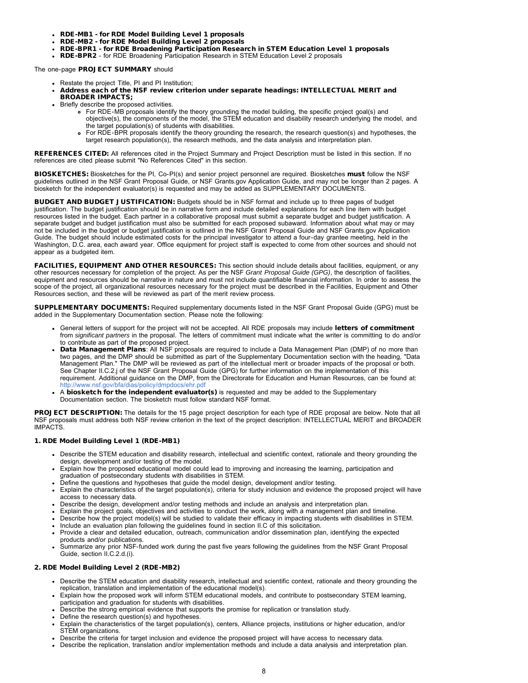- RDE-MB1 for RDE Model Building Level 1 proposals
- RDE-MB2 for RDE Model Building Level 2 proposals
- RDE-BPR1 for RDE Broadening Participation Research in STEM Education Level 1 proposals
- RDE-BPR2 for RDE Broadening Participation Research in STEM Education Level 2 proposals

The one-page PROJECT SUMMARY should

- Restate the project Title, PI and PI Institution;
- Address each of the NSF review criterion under separate headings: INTELLECTUAL MERIT and BROADER IMPACTS;
- Briefly describe the proposed activities.
	- For RDE-MB proposals identify the theory grounding the model building, the specific project goal(s) and objective(s), the components of the model, the STEM education and disability research underlying the model, and the target population(s) of students with disabilities.
	- For RDE-BPR proposals identify the theory grounding the research, the research question(s) and hypotheses, the target research population(s), the research methods, and the data analysis and interpretation plan.

REFERENCES CITED: All references cited in the Project Summary and Project Description must be listed in this section. If no references are cited please submit "No References Cited" in this section.

BIOSKETCHES: Biosketches for the PI, Co-PI(s) and senior project personnel are required. Biosketches must follow the NSF guidelines outlined in the NSF Grant Proposal Guide, or NSF Grants.gov Application Guide, and may not be longer than 2 pages. A biosketch for the independent evaluator(s) is requested and may be added as SUPPLEMENTARY DOCUMENTS.

BUDGET AND BUDGET JUSTIFICATION: Budgets should be in NSF format and include up to three pages of budget justification. The budget justification should be in narrative form and include detailed explanations for each line item with budget resources listed in the budget. Each partner in a collaborative proposal must submit a separate budget and budget justification. A separate budget and budget justification must also be submitted for each proposed subaward. Information about what may or may not be included in the budget or budget justification is outlined in the NSF Grant Proposal Guide and NSF Grants.gov Application Guide. The budget should include estimated costs for the principal investigator to attend a four-day grantee meeting, held in the Washington, D.C. area, each award year. Office equipment for project staff is expected to come from other sources and should not appear as a budgeted item.

FACILITIES, EQUIPMENT AND OTHER RESOURCES: This section should include details about facilities, equipment, or any other resources necessary for completion of the project. As per the NSF *Grant Proposal Guide (GPG)*, the description of facilities, equipment and resources should be narrative in nature and must not include quantifiable financial information. In order to assess the scope of the project, all organizational resources necessary for the project must be described in the Facilities, Equipment and Other Resources section, and these will be reviewed as part of the merit review process.

SUPPLEMENTARY DOCUMENTS: Required supplementary documents listed in the NSF Grant Proposal Guide (GPG) must be added in the Supplementary Documentation section. Please note the following:

- . General letters of support for the project will not be accepted. All RDE proposals may include letters of commitment from *significant partners* in the proposal. The letters of commitment must indicate what the writer is committing to do and/or to contribute as part of the proposed project.
- Data Management Plans: All NSF proposals are required to include a Data Management Plan (DMP) of no more than two pages, and the DMP should be submitted as part of the Supplementary Documentation section with the heading, "Data Management Plan." The DMP will be reviewed as part of the intellectual merit or broader impacts of the proposal or both. See Chapter II.C.2.j of the NSF Grant Proposal Guide (GPG) for further information on the implementation of this requirement. Additional guidance on the DMP, from the Directorate for Education and Human Resources, can be found at: <http://www.nsf.gov/bfa/dias/policy/dmpdocs/ehr.pdf>
- A biosketch for the independent evaluator(s) is requested and may be added to the Supplementary Documentation section. The biosketch must follow standard NSF format.

PROJECT DESCRIPTION: The details for the 15 page project description for each type of RDE proposal are below. Note that all NSF proposals must address both NSF review criterion in the text of the project description: INTELLECTUAL MERIT and BROADER IMPACTS.

### 1. RDE Model Building Level 1 (RDE-MB1)

- Describe the STEM education and disability research, intellectual and scientific context, rationale and theory grounding the design, development and/or testing of the model.
- Explain how the proposed educational model could lead to improving and increasing the learning, participation and graduation of postsecondary students with disabilities in STEM.
- Define the questions and hypotheses that guide the model design, development and/or testing.
- Explain the characteristics of the target population(s), criteria for study inclusion and evidence the proposed project will have access to necessary data.
- Describe the design, development and/or testing methods and include an analysis and interpretation plan.
- Explain the project goals, objectives and activities to conduct the work, along with a management plan and timeline.
- Describe how the project model(s) will be studied to validate their efficacy in impacting students with disabilities in STEM.
- Include an evaluation plan following the guidelines found in section II.C of this solicitation.
- Provide a clear and detailed education, outreach, communication and/or dissemination plan, identifying the expected products and/or publications.
- Summarize any prior NSF-funded work during the past five years following the guidelines from the NSF Grant Proposal Guide, section II.C.2.d.(i).

#### 2. RDE Model Building Level 2 (RDE-MB2)

- Describe the STEM education and disability research, intellectual and scientific context, rationale and theory grounding the replication, translation and implementation of the educational model(s).
- Explain how the proposed work will inform STEM educational models, and contribute to postsecondary STEM learning, participation and graduation for students with disabilities.
- Describe the strong empirical evidence that supports the promise for replication or translation study.
- Define the research question(s) and hypotheses.
- Explain the characteristics of the target population(s), centers, Alliance projects, institutions or higher education, and/or STEM organizations.
- Describe the criteria for target inclusion and evidence the proposed project will have access to necessary data.
- Describe the replication, translation and/or implementation methods and include a data analysis and interpretation plan.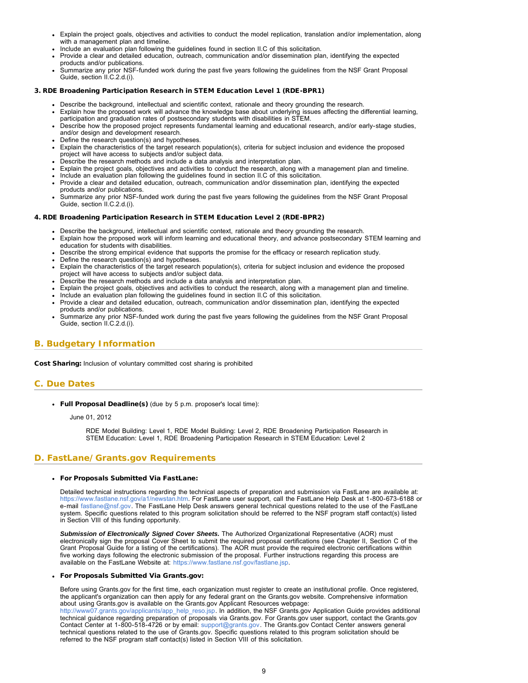- <span id="page-8-1"></span>Explain the project goals, objectives and activities to conduct the model replication, translation and/or implementation, along with a management plan and timeline.
- Include an evaluation plan following the guidelines found in section II.C of this solicitation.
- Provide a clear and detailed education, outreach, communication and/or dissemination plan, identifying the expected products and/or publications.
- Summarize any prior NSF-funded work during the past five years following the guidelines from the NSF Grant Proposal Guide, section II.C.2.d.(i).

### 3. RDE Broadening Participation Research in STEM Education Level 1 (RDE-BPR1)

- Describe the background, intellectual and scientific context, rationale and theory grounding the research.
- Explain how the proposed work will advance the knowledge base about underlying issues affecting the differential learning, participation and graduation rates of postsecondary students with disabilities in STEM.
- Describe how the proposed project represents fundamental learning and educational research, and/or early-stage studies, and/or design and development research.
- Define the research question(s) and hypotheses.
- Explain the characteristics of the target research population(s), criteria for subject inclusion and evidence the proposed project will have access to subjects and/or subject data.
- Describe the research methods and include a data analysis and interpretation plan.
- Explain the project goals, objectives and activities to conduct the research, along with a management plan and timeline.
- Include an evaluation plan following the guidelines found in section II.C of this solicitation.
- Provide a clear and detailed education, outreach, communication and/or dissemination plan, identifying the expected products and/or publications.
- Summarize any prior NSF-funded work during the past five years following the guidelines from the NSF Grant Proposal Guide, section II.C.2.d.(i).

### 4. RDE Broadening Participation Research in STEM Education Level 2 (RDE-BPR2)

- Describe the background, intellectual and scientific context, rationale and theory grounding the research.
- Explain how the proposed work will inform learning and educational theory, and advance postsecondary STEM learning and education for students with disabilities.
- Describe the strong empirical evidence that supports the promise for the efficacy or research replication study.
- Define the research question(s) and hypotheses.
- Explain the characteristics of the target research population(s), criteria for subject inclusion and evidence the proposed project will have access to subjects and/or subject data.
- . Describe the research methods and include a data analysis and interpretation plan.
- Explain the project goals, objectives and activities to conduct the research, along with a management plan and timeline.
- Include an evaluation plan following the guidelines found in section II.C of this solicitation.
- Provide a clear and detailed education, outreach, communication and/or dissemination plan, identifying the expected products and/or publications.
- Summarize any prior NSF-funded work during the past five years following the guidelines from the NSF Grant Proposal Guide, section II.C.2.d.(i).

## <span id="page-8-0"></span>**B. Budgetary Information**

Cost Sharing: Inclusion of voluntary committed cost sharing is prohibited

## **C. Due Dates**

Full Proposal Deadline(s) (due by 5 p.m. proposer's local time):

June 01, 2012

RDE Model Building: Level 1, RDE Model Building: Level 2, RDE Broadening Participation Research in STEM Education: Level 1, RDE Broadening Participation Research in STEM Education: Level 2

## <span id="page-8-2"></span>**D. FastLane/Grants.gov Requirements**

## For Proposals Submitted Via FastLane:

Detailed technical instructions regarding the technical aspects of preparation and submission via FastLane are available at: [https://www.fastlane.nsf.gov/a1/newstan.htm.](https://www.fastlane.nsf.gov/a1/newstan.htm) For FastLane user support, call the FastLane Help Desk at 1-800-673-6188 or e-mail [fastlane@nsf.gov.](mailto:fastlane@nsf.gov) The FastLane Help Desk answers general technical questions related to the use of the FastLane system. Specific questions related to this program solicitation should be referred to the NSF program staff contact(s) listed in Section VIII of this funding opportunity.

*Submission of Electronically Signed Cover Sheets.* The Authorized Organizational Representative (AOR) must electronically sign the proposal Cover Sheet to submit the required proposal certifications (see Chapter II, Section C of the Grant Proposal Guide for a listing of the certifications). The AOR must provide the required electronic certifications within five working days following the electronic submission of the proposal. Further instructions regarding this process are available on the FastLane Website at: [https://www.fastlane.nsf.gov/fastlane.jsp.](https://www.fastlane.nsf.gov/fastlane.jsp)

#### For Proposals Submitted Via Grants.gov:

Before using Grants.gov for the first time, each organization must register to create an institutional profile. Once registered, the applicant's organization can then apply for any federal grant on the Grants.gov website. Comprehensive information about using Grants.gov is available on the Grants.gov Applicant Resources webpage:

[http://www07.grants.gov/applicants/app\\_help\\_reso.jsp.](http://www07.grants.gov/applicants/app_help_reso.jsp) In addition, the NSF Grants.gov Application Guide provides additional technical guidance regarding preparation of proposals via Grants.gov. For Grants.gov user support, contact the Grants.gov Contact Center at 1-800-518-4726 or by email: [support@grants.gov](mailto:support@grants.gov). The Grants.gov Contact Center answers general technical questions related to the use of Grants.gov. Specific questions related to this program solicitation should be referred to the NSF program staff contact(s) listed in Section VIII of this solicitation.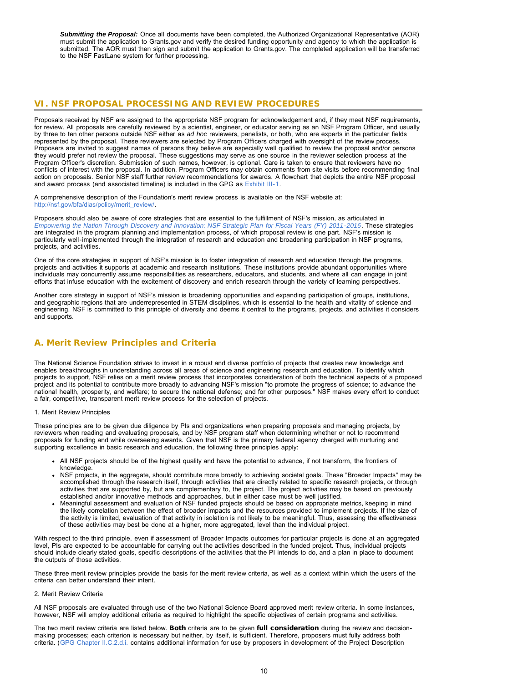*Submitting the Proposal:* Once all documents have been completed, the Authorized Organizational Representative (AOR) must submit the application to Grants.gov and verify the desired funding opportunity and agency to which the application is submitted. The AOR must then sign and submit the application to Grants.gov. The completed application will be transferred to the NSF FastLane system for further processing.

## <span id="page-9-0"></span>**VI. NSF PROPOSAL PROCESSING AND REVIEW PROCEDURES**

Proposals received by NSF are assigned to the appropriate NSF program for acknowledgement and, if they meet NSF requirements, for review. All proposals are carefully reviewed by a scientist, engineer, or educator serving as an NSF Program Officer, and usually by three to ten other persons outside NSF either as *ad hoc* reviewers, panelists, or both, who are experts in the particular fields represented by the proposal. These reviewers are selected by Program Officers charged with oversight of the review process. Proposers are invited to suggest names of persons they believe are especially well qualified to review the proposal and/or persons they would prefer not review the proposal. These suggestions may serve as one source in the reviewer selection process at the Program Officer's discretion. Submission of such names, however, is optional. Care is taken to ensure that reviewers have no conflicts of interest with the proposal. In addition, Program Officers may obtain comments from site visits before recommending final action on proposals. Senior NSF staff further review recommendations for awards. A flowchart that depicts the entire NSF proposal and award process (and associated timeline) is included in the GPG as [Exhibit III-1](http://www.nsf.gov/pubs/policydocs/pappguide/nsf13001/gpg_3ex1.pdf).

A comprehensive description of the Foundation's merit review process is available on the NSF website at: [http://nsf.gov/bfa/dias/policy/merit\\_review/.](http://nsf.gov/bfa/dias/policy/merit_review/)

Proposers should also be aware of core strategies that are essential to the fulfillment of NSF's mission, as articulated in *[Empowering the Nation Through Discovery and Innovation: NSF Strategic Plan for Fiscal Years \(FY\) 2011-2016](http://www.nsf.gov/news/strategicplan/nsfstrategicplan_2011_2016.pdf)*. These strategies are integrated in the program planning and implementation process, of which proposal review is one part. NSF's mission is particularly well-implemented through the integration of research and education and broadening participation in NSF programs, projects, and activities.

One of the core strategies in support of NSF's mission is to foster integration of research and education through the programs, projects and activities it supports at academic and research institutions. These institutions provide abundant opportunities where individuals may concurrently assume responsibilities as researchers, educators, and students, and where all can engage in joint efforts that infuse education with the excitement of discovery and enrich research through the variety of learning perspectives.

Another core strategy in support of NSF's mission is broadening opportunities and expanding participation of groups, institutions, and geographic regions that are underrepresented in STEM disciplines, which is essential to the health and vitality of science and engineering. NSF is committed to this principle of diversity and deems it central to the programs, projects, and activities it considers and supports.

## <span id="page-9-1"></span>**A. Merit Review Principles and Criteria**

The National Science Foundation strives to invest in a robust and diverse portfolio of projects that creates new knowledge and enables breakthroughs in understanding across all areas of science and engineering research and education. To identify which projects to support, NSF relies on a merit review process that incorporates consideration of both the technical aspects of a proposed project and its potential to contribute more broadly to advancing NSF's mission "to promote the progress of science; to advance the national health, prosperity, and welfare; to secure the national defense; and for other purposes." NSF makes every effort to conduct a fair, competitive, transparent merit review process for the selection of projects.

1. Merit Review Principles

These principles are to be given due diligence by PIs and organizations when preparing proposals and managing projects, by reviewers when reading and evaluating proposals, and by NSF program staff when determining whether or not to recommend proposals for funding and while overseeing awards. Given that NSF is the primary federal agency charged with nurturing and supporting excellence in basic research and education, the following three principles apply:

- All NSF projects should be of the highest quality and have the potential to advance, if not transform, the frontiers of knowledge.
- NSF projects, in the aggregate, should contribute more broadly to achieving societal goals. These "Broader Impacts" may be accomplished through the research itself, through activities that are directly related to specific research projects, or through activities that are supported by, but are complementary to, the project. The project activities may be based on previously established and/or innovative methods and approaches, but in either case must be well justified.
- Meaningful assessment and evaluation of NSF funded projects should be based on appropriate metrics, keeping in mind the likely correlation between the effect of broader impacts and the resources provided to implement projects. If the size of the activity is limited, evaluation of that activity in isolation is not likely to be meaningful. Thus, assessing the effectiveness of these activities may best be done at a higher, more aggregated, level than the individual project.

With respect to the third principle, even if assessment of Broader Impacts outcomes for particular projects is done at an aggregated level, PIs are expected to be accountable for carrying out the activities described in the funded project. Thus, individual projects should include clearly stated goals, specific descriptions of the activities that the PI intends to do, and a plan in place to document the outputs of those activities.

These three merit review principles provide the basis for the merit review criteria, as well as a context within which the users of the criteria can better understand their intent.

#### 2. Merit Review Criteria

All NSF proposals are evaluated through use of the two National Science Board approved merit review criteria. In some instances, however, NSF will employ additional criteria as required to highlight the specific objectives of certain programs and activities.

The two merit review criteria are listed below. Both criteria are to be given full consideration during the review and decisionmaking processes; each criterion is necessary but neither, by itself, is sufficient. Therefore, proposers must fully address both criteria. ([GPG Chapter II.C.2.d.i.](http://www.nsf.gov/pubs/policydocs/pappguide/nsf13001/gpg_2.jsp#IIC2di) contains additional information for use by proposers in development of the Project Description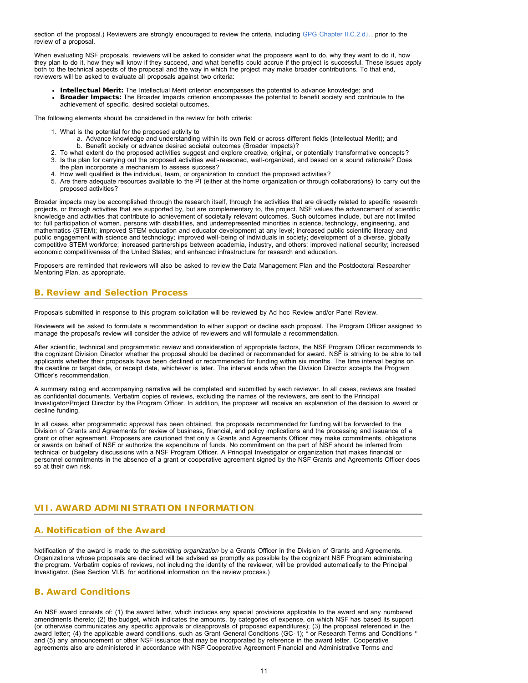section of the proposal.) Reviewers are strongly encouraged to review the criteria, including [GPG Chapter II.C.2.d.i.,](http://www.nsf.gov/pubs/policydocs/pappguide/nsf13001/gpg_2.jsp#IIC2di) prior to the review of a proposal.

When evaluating NSF proposals, reviewers will be asked to consider what the proposers want to do, why they want to do it, how they plan to do it, how they will know if they succeed, and what benefits could accrue if the project is successful. These issues apply both to the technical aspects of the proposal and the way in which the project may make broader contributions. To that end, reviewers will be asked to evaluate all proposals against two criteria:

- Intellectual Merit: The Intellectual Merit criterion encompasses the potential to advance knowledge; and
- Broader Impacts: The Broader Impacts criterion encompasses the potential to benefit society and contribute to the achievement of specific, desired societal outcomes.

The following elements should be considered in the review for both criteria:

- 1. What is the potential for the proposed activity to
	- a. Advance knowledge and understanding within its own field or across different fields (Intellectual Merit); and b. Benefit society or advance desired societal outcomes (Broader Impacts)?
- 2. To what extent do the proposed activities suggest and explore creative, original, or potentially transformative concepts? 3. Is the plan for carrying out the proposed activities well-reasoned, well-organized, and based on a sound rationale? Does
- the plan incorporate a mechanism to assess success?
- 4. How well qualified is the individual, team, or organization to conduct the proposed activities?
- 5. Are there adequate resources available to the PI (either at the home organization or through collaborations) to carry out the proposed activities?

Broader impacts may be accomplished through the research itself, through the activities that are directly related to specific research projects, or through activities that are supported by, but are complementary to, the project. NSF values the advancement of scientific knowledge and activities that contribute to achievement of societally relevant outcomes. Such outcomes include, but are not limited to: full participation of women, persons with disabilities, and underrepresented minorities in science, technology, engineering, and mathematics (STEM); improved STEM education and educator development at any level; increased public scientific literacy and public engagement with science and technology; improved well-being of individuals in society; development of a diverse, globally competitive STEM workforce; increased partnerships between academia, industry, and others; improved national security; increased economic competitiveness of the United States; and enhanced infrastructure for research and education.

Proposers are reminded that reviewers will also be asked to review the Data Management Plan and the Postdoctoral Researcher Mentoring Plan, as appropriate.

## <span id="page-10-0"></span>**B. Review and Selection Process**

Proposals submitted in response to this program solicitation will be reviewed by Ad hoc Review and/or Panel Review.

Reviewers will be asked to formulate a recommendation to either support or decline each proposal. The Program Officer assigned to manage the proposal's review will consider the advice of reviewers and will formulate a recommendation.

After scientific, technical and programmatic review and consideration of appropriate factors, the NSF Program Officer recommends to the cognizant Division Director whether the proposal should be declined or recommended for award. NSF is striving to be able to tell applicants whether their proposals have been declined or recommended for funding within six months. The time interval begins on the deadline or target date, or receipt date, whichever is later. The interval ends when the Division Director accepts the Program Officer's recommendation.

A summary rating and accompanying narrative will be completed and submitted by each reviewer. In all cases, reviews are treated as confidential documents. Verbatim copies of reviews, excluding the names of the reviewers, are sent to the Principal Investigator/Project Director by the Program Officer. In addition, the proposer will receive an explanation of the decision to award or decline funding.

In all cases, after programmatic approval has been obtained, the proposals recommended for funding will be forwarded to the Division of Grants and Agreements for review of business, financial, and policy implications and the processing and issuance of a grant or other agreement. Proposers are cautioned that only a Grants and Agreements Officer may make commitments, obligations or awards on behalf of NSF or authorize the expenditure of funds. No commitment on the part of NSF should be inferred from technical or budgetary discussions with a NSF Program Officer. A Principal Investigator or organization that makes financial or personnel commitments in the absence of a grant or cooperative agreement signed by the NSF Grants and Agreements Officer does so at their own risk.

## <span id="page-10-1"></span>**VII. AWARD ADMINISTRATION INFORMATION**

## <span id="page-10-2"></span>**A. Notification of the Award**

Notification of the award is made to *the submitting organization* by a Grants Officer in the Division of Grants and Agreements. Organizations whose proposals are declined will be advised as promptly as possible by the cognizant NSF Program administering the program. Verbatim copies of reviews, not including the identity of the reviewer, will be provided automatically to the Principal Investigator. (See Section VI.B. for additional information on the review process.)

## <span id="page-10-3"></span>**B. Award Conditions**

An NSF award consists of: (1) the award letter, which includes any special provisions applicable to the award and any numbered amendments thereto; (2) the budget, which indicates the amounts, by categories of expense, on which NSF has based its support (or otherwise communicates any specific approvals or disapprovals of proposed expenditures); (3) the proposal referenced in the award letter; (4) the applicable award conditions, such as Grant General Conditions (GC-1); \* or Research Terms and Conditions \* and (5) any announcement or other NSF issuance that may be incorporated by reference in the award letter. Cooperative agreements also are administered in accordance with NSF Cooperative Agreement Financial and Administrative Terms and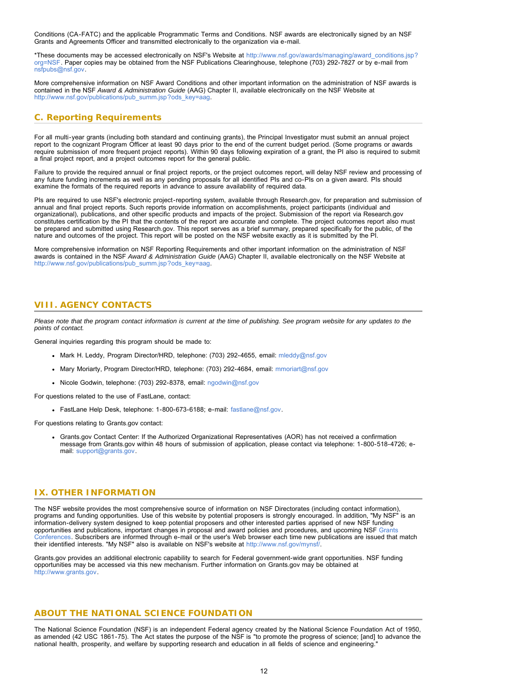Conditions (CA-FATC) and the applicable Programmatic Terms and Conditions. NSF awards are electronically signed by an NSF Grants and Agreements Officer and transmitted electronically to the organization via e-mail.

\*These documents may be accessed electronically on NSF's Website at [http://www.nsf.gov/awards/managing/award\\_conditions.jsp?](http://www.nsf.gov/awards/managing/award_conditions.jsp?org=NSF) [org=NSF.](http://www.nsf.gov/awards/managing/award_conditions.jsp?org=NSF) Paper copies may be obtained from the NSF Publications Clearinghouse, telephone (703) 292-7827 or by e-mail from [nsfpubs@nsf.gov.](mailto:nsfpubs@nsf.gov)

More comprehensive information on NSF Award Conditions and other important information on the administration of NSF awards is contained in the NSF *Award & Administration Guide* (AAG) Chapter II, available electronically on the NSF Website at [http://www.nsf.gov/publications/pub\\_summ.jsp?ods\\_key=aag.](http://www.nsf.gov/publications/pub_summ.jsp?ods_key=aag)

## <span id="page-11-0"></span>**C. Reporting Requirements**

For all multi-year grants (including both standard and continuing grants), the Principal Investigator must submit an annual project report to the cognizant Program Officer at least 90 days prior to the end of the current budget period. (Some programs or awards require submission of more frequent project reports). Within 90 days following expiration of a grant, the PI also is required to submit a final project report, and a project outcomes report for the general public.

Failure to provide the required annual or final project reports, or the project outcomes report, will delay NSF review and processing of any future funding increments as well as any pending proposals for all identified PIs and co-PIs on a given award. PIs should examine the formats of the required reports in advance to assure availability of required data.

PIs are required to use NSF's electronic project-reporting system, available through Research.gov, for preparation and submission of annual and final project reports. Such reports provide information on accomplishments, project participants (individual and organizational), publications, and other specific products and impacts of the project. Submission of the report via Research.gov constitutes certification by the PI that the contents of the report are accurate and complete. The project outcomes report also must be prepared and submitted using Research.gov. This report serves as a brief summary, prepared specifically for the public, of the nature and outcomes of the project. This report will be posted on the NSF website exactly as it is submitted by the PI.

More comprehensive information on NSF Reporting Requirements and other important information on the administration of NSF awards is contained in the NSF *Award & Administration Guide* (AAG) Chapter II, available electronically on the NSF Website at [http://www.nsf.gov/publications/pub\\_summ.jsp?ods\\_key=aag.](http://www.nsf.gov/publications/pub_summ.jsp?ods_key=aag)

## <span id="page-11-1"></span>**VIII. AGENCY CONTACTS**

*Please note that the program contact information is current at the time of publishing. See program website for any updates to the points of contact.*

General inquiries regarding this program should be made to:

- Mark H. Leddy, Program Director/HRD, telephone: (703) 292-4655, email: [mleddy@nsf.gov](mailto:mleddy@nsf.gov)
- Mary Moriarty, Program Director/HRD, telephone: (703) 292-4684, email: [mmoriart@nsf.gov](mailto:mmoriart@nsf.gov)
- Nicole Godwin, telephone: (703) 292-8378, email: [ngodwin@nsf.gov](mailto:ngodwin@nsf.gov)

For questions related to the use of FastLane, contact:

FastLane Help Desk, telephone: 1-800-673-6188; e-mail: [fastlane@nsf.gov.](mailto:fastlane@nsf.gov)

For questions relating to Grants.gov contact:

Grants.gov Contact Center: If the Authorized Organizational Representatives (AOR) has not received a confirmation message from Grants.gov within 48 hours of submission of application, please contact via telephone: 1-800-518-4726; email: [support@grants.gov.](mailto:support@grants.gov)

## <span id="page-11-2"></span>**IX. OTHER INFORMATION**

The NSF website provides the most comprehensive source of information on NSF Directorates (including contact information), programs and funding opportunities. Use of this website by potential proposers is strongly encouraged. In addition, "My NSF" is an information-delivery system designed to keep potential proposers and other interested parties apprised of new NSF funding opportunities and publications, important changes in proposal and award policies and procedures, and upcoming NSF [Grants](http://www.nsf.gov/bfa/dias/policy/outreach.jsp) [Conferences.](http://www.nsf.gov/bfa/dias/policy/outreach.jsp) Subscribers are informed through e-mail or the user's Web browser each time new publications are issued that match their identified interests. "My NSF" also is available on NSF's website at [http://www.nsf.gov/mynsf/.](http://www.nsf.gov/mynsf/)

Grants.gov provides an additional electronic capability to search for Federal government-wide grant opportunities. NSF funding opportunities may be accessed via this new mechanism. Further information on Grants.gov may be obtained at [http://www.grants.gov.](http://www.grants.gov/)

## **ABOUT THE NATIONAL SCIENCE FOUNDATION**

The National Science Foundation (NSF) is an independent Federal agency created by the National Science Foundation Act of 1950, as amended (42 USC 1861-75). The Act states the purpose of the NSF is "to promote the progress of science; [and] to advance the national health, prosperity, and welfare by supporting research and education in all fields of science and engineering."